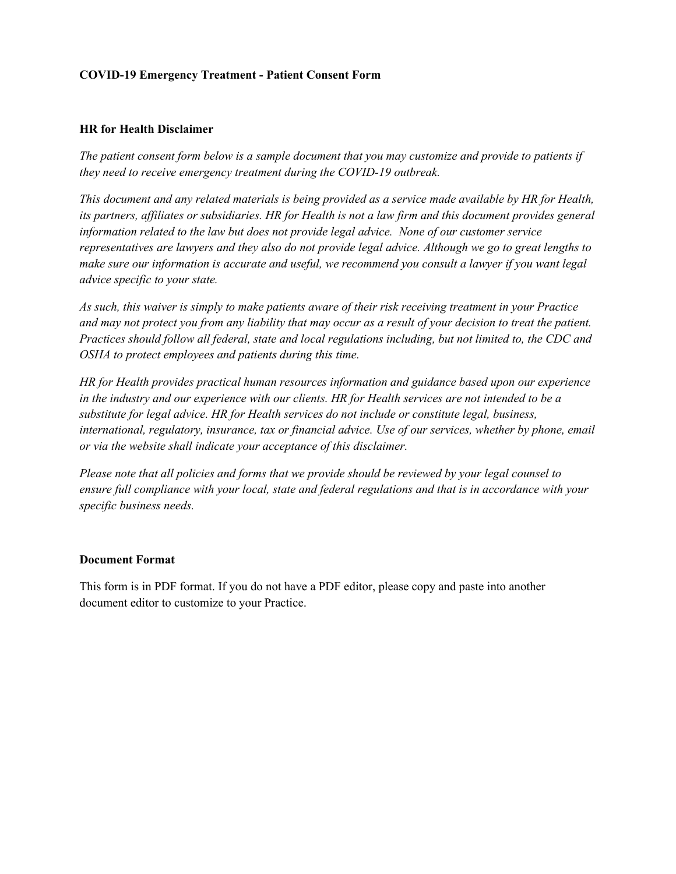## **COVID-19 Emergency Treatment - Patient Consent Form**

## **HR for Health Disclaimer**

*The patient consent form below is a sample document that you may customize and provide to patients if they need to receive emergency treatment during the COVID-19 outbreak.* 

*This document and any related materials is being provided as a service made available by HR for Health, its partners, affiliates or subsidiaries. HR for Health is not a law firm and this document provides general information related to the law but does not provide legal advice. None of our customer service representatives are lawyers and they also do not provide legal advice. Although we go to great lengths to make sure our information is accurate and useful, we recommend you consult a lawyer if you want legal advice specific to your state.*

*As such, this waiver is simply to make patients aware of their risk receiving treatment in your Practice and may not protect you from any liability that may occur as a result of your decision to treat the patient. Practices should follow all federal, state and local regulations including, but not limited to, the CDC and OSHA to protect employees and patients during this time.* 

*HR for Health provides practical human resources information and guidance based upon our experience in the industry and our experience with our clients. HR for Health services are not intended to be a substitute for legal advice. HR for Health services do not include or constitute legal, business, international, regulatory, insurance, tax or financial advice. Use of our services, whether by phone, email or via the website shall indicate your acceptance of this disclaimer.*

*Please note that all policies and forms that we provide should be reviewed by your legal counsel to ensure full compliance with your local, state and federal regulations and that is in accordance with your specific business needs.* 

## **Document Format**

This form is in PDF format. If you do not have a PDF editor, please copy and paste into another document editor to customize to your Practice.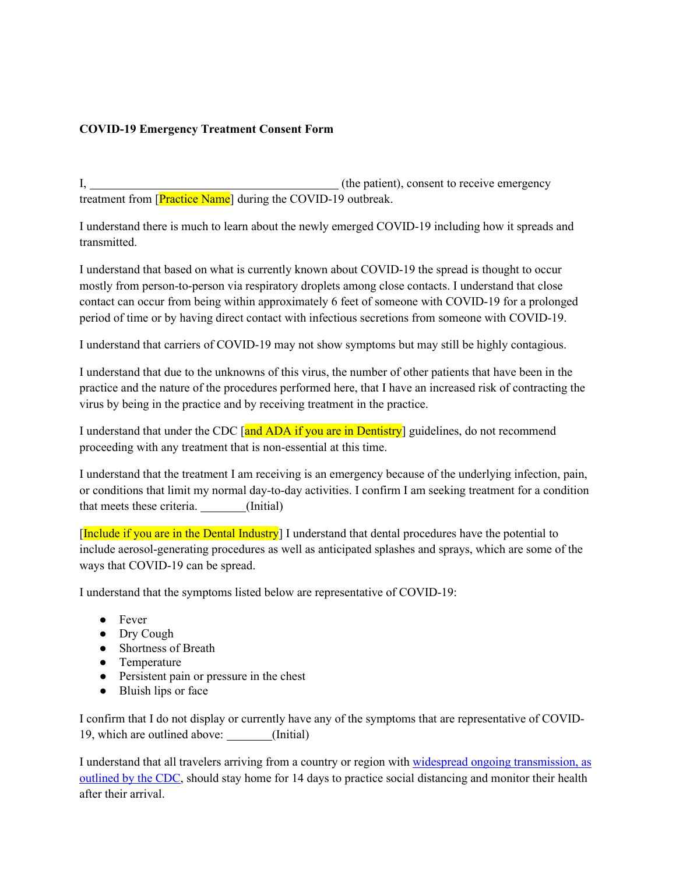## **COVID-19 Emergency Treatment Consent Form**

I,  $\qquad \qquad$  (the patient), consent to receive emergency treatment from [Practice Name] during the COVID-19 outbreak.

I understand there is much to learn about the newly emerged COVID-19 including how it spreads and transmitted.

I understand that based on what is currently known about COVID-19 the spread is thought to occur mostly from person-to-person via respiratory droplets among close contacts. I understand that close contact can occur from being within approximately 6 feet of someone with COVID-19 for a prolonged period of time or by having direct contact with infectious secretions from someone with COVID-19.

I understand that carriers of COVID-19 may not show symptoms but may still be highly contagious.

I understand that due to the unknowns of this virus, the number of other patients that have been in the practice and the nature of the procedures performed here, that I have an increased risk of contracting the virus by being in the practice and by receiving treatment in the practice.

I understand that under the CDC  $\left[\right]$  and ADA if you are in Dentistry guidelines, do not recommend proceeding with any treatment that is non-essential at this time.

I understand that the treatment I am receiving is an emergency because of the underlying infection, pain, or conditions that limit my normal day-to-day activities. I confirm I am seeking treatment for a condition that meets these criteria. (Initial)

[Include if you are in the Dental Industry] I understand that dental procedures have the potential to include aerosol-generating procedures as well as anticipated splashes and sprays, which are some of the ways that COVID-19 can be spread.

I understand that the symptoms listed below are representative of COVID-19:

- Fever
- Dry Cough
- Shortness of Breath
- Temperature
- Persistent pain or pressure in the chest
- Bluish lips or face

I confirm that I do not display or currently have any of the symptoms that are representative of COVID-19, which are outlined above: (Initial)

I understand that all travelers arriving from a country or region with [widespread ongoing transmission, as](https://www.cdc.gov/coronavirus/2019-ncov/travelers/map-and-travel-notices.html)  [outlined by the CDC,](https://www.cdc.gov/coronavirus/2019-ncov/travelers/map-and-travel-notices.html) should stay home for 14 days to practice social distancing and monitor their health after their arrival.